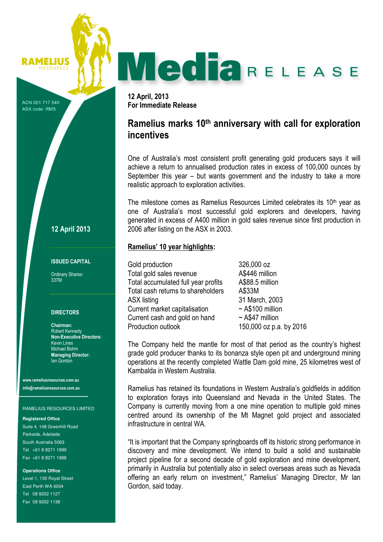# MediaRELEASE

12 April, 2013 For Immediate Release

# Ramelius marks 10<sup>th</sup> anniversary with call for exploration incentives

One of Australia's most consistent profit generating gold producers says it will achieve a return to annualised production rates in excess of 100,000 ounces by September this year – but wants government and the industry to take a more realistic approach to exploration activities.

The milestone comes as Ramelius Resources Limited celebrates its  $10<sup>th</sup>$  year as one of Australia's most successful gold explorers and developers, having generated in excess of A400 million in gold sales revenue since first production in 2006 after listing on the ASX in 2003.

# Ramelius' 10 year highlights:

Gold production 326,000 oz Total gold sales revenue Total A\$446 million Total accumulated full year profits A\$88.5 million Total cash returns to shareholders A\$33M ASX listing 31 March, 2003 Current market capitalisation ~ A\$100 million Current cash and gold on hand  $\sim$  A\$47 million Production outlook 150,000 oz p.a. by 2016

The Company held the mantle for most of that period as the country's highest grade gold producer thanks to its bonanza style open pit and underground mining operations at the recently completed Wattle Dam gold mine, 25 kilometres west of Kambalda in Western Australia.

Ramelius has retained its foundations in Western Australia's goldfields in addition to exploration forays into Queensland and Nevada in the United States. The Company is currently moving from a one mine operation to multiple gold mines centred around its ownership of the Mt Magnet gold project and associated infrastructure in central WA.

"It is important that the Company springboards off its historic strong performance in discovery and mine development. We intend to build a solid and sustainable project pipeline for a second decade of gold exploration and mine development, primarily in Australia but potentially also in select overseas areas such as Nevada offering an early return on investment," Ramelius' Managing Director, Mr Ian Gordon, said today.

# 12 April 2013

RAMELIUS

ACN 001 717 540 ASX code: RMS

## ISSUED CAPITAL

Ordinary Shares: 337M

## **DIRECTORS**

Chairman: Robert Kennedy Non-Executive Directors: Kevin Lines Michael Bohm Managing Director: Ian Gordon

www.rameliusresources.com.au info@rameliusresources.com.au

RAMELIUS RESOURCES LIMITED

### **Registered Office**

Suite 4, 148 Greenhill Road Parkside, Adelaide South Australia 5063 Tel +61 8 8271 1999 Fax +61 8 8271 1988

**Operations Office** 

Level 1, 130 Royal Street East Perth WA 6004 Tel 08 9202 1127 Fax 08 9202 1138